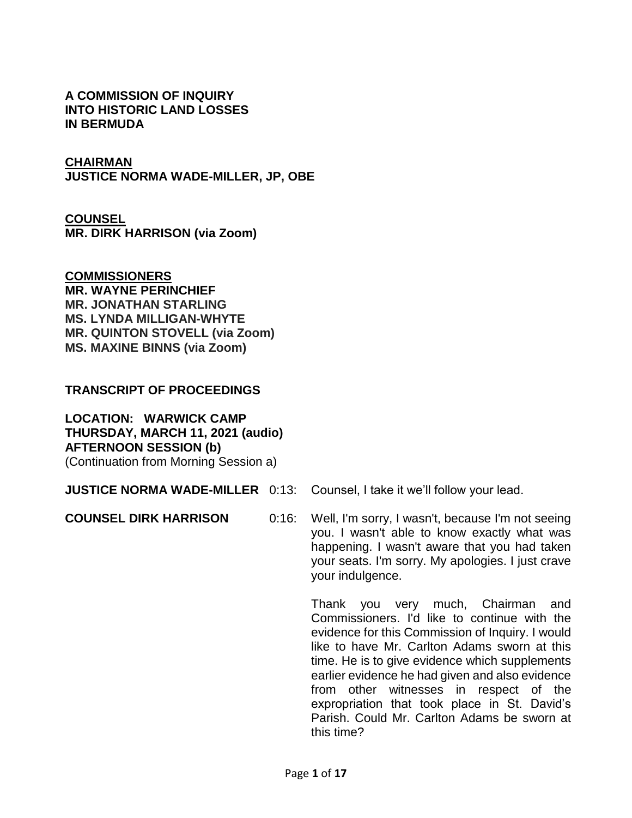# **A COMMISSION OF INQUIRY INTO HISTORIC LAND LOSSES IN BERMUDA**

#### **CHAIRMAN**

**JUSTICE NORMA WADE-MILLER, JP, OBE** 

#### **COUNSEL**

**MR. DIRK HARRISON (via Zoom)**

#### **COMMISSIONERS**

**MR. WAYNE PERINCHIEF MR. JONATHAN STARLING MS. LYNDA MILLIGAN-WHYTE MR. QUINTON STOVELL (via Zoom) MS. MAXINE BINNS (via Zoom)**

#### **TRANSCRIPT OF PROCEEDINGS**

## **LOCATION: WARWICK CAMP THURSDAY, MARCH 11, 2021 (audio) AFTERNOON SESSION (b)** (Continuation from Morning Session a)

**JUSTICE NORMA WADE-MILLER** 0:13: Counsel, I take it we'll follow your lead.

**COUNSEL DIRK HARRISON** 0:16: Well, I'm sorry, I wasn't, because I'm not seeing you. I wasn't able to know exactly what was happening. I wasn't aware that you had taken your seats. I'm sorry. My apologies. I just crave your indulgence.

> Thank you very much, Chairman and Commissioners. I'd like to continue with the evidence for this Commission of Inquiry. I would like to have Mr. Carlton Adams sworn at this time. He is to give evidence which supplements earlier evidence he had given and also evidence from other witnesses in respect of the expropriation that took place in St. David's Parish. Could Mr. Carlton Adams be sworn at this time?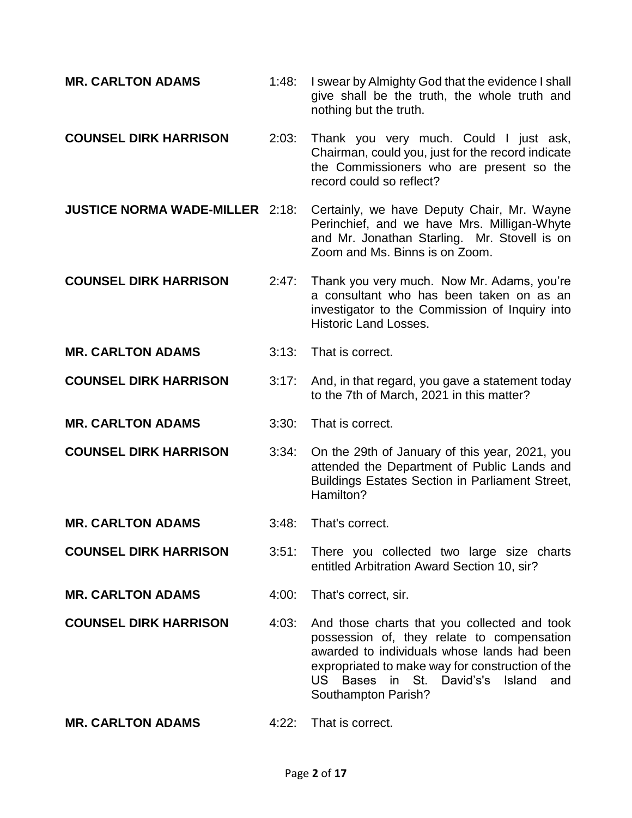- **MR. CARLTON ADAMS** 1:48: I swear by Almighty God that the evidence I shall give shall be the truth, the whole truth and nothing but the truth.
- **COUNSEL DIRK HARRISON** 2:03: Thank you very much. Could I just ask, Chairman, could you, just for the record indicate the Commissioners who are present so the record could so reflect?

- **JUSTICE NORMA WADE-MILLER** 2:18: Certainly, we have Deputy Chair, Mr. Wayne Perinchief, and we have Mrs. Milligan-Whyte and Mr. Jonathan Starling. Mr. Stovell is on Zoom and Ms. Binns is on Zoom.
- **COUNSEL DIRK HARRISON** 2:47: Thank you very much. Now Mr. Adams, you're a consultant who has been taken on as an investigator to the Commission of Inquiry into Historic Land Losses.
- **MR. CARLTON ADAMS** 3:13: That is correct.
- **COUNSEL DIRK HARRISON** 3:17: And, in that regard, you gave a statement today to the 7th of March, 2021 in this matter?
- **MR. CARLTON ADAMS** 3:30: That is correct.
- **COUNSEL DIRK HARRISON** 3:34: On the 29th of January of this year, 2021, you attended the Department of Public Lands and Buildings Estates Section in Parliament Street, Hamilton?
- **MR. CARLTON ADAMS** 3:48: That's correct.
- **COUNSEL DIRK HARRISON** 3:51: There you collected two large size charts entitled Arbitration Award Section 10, sir?
- **MR. CARLTON ADAMS** 4:00: That's correct, sir.
- **COUNSEL DIRK HARRISON** 4:03: And those charts that you collected and took possession of, they relate to compensation awarded to individuals whose lands had been expropriated to make way for construction of the US Bases in St. David's's Island and Southampton Parish?
- **MR. CARLTON ADAMS** 4:22: That is correct.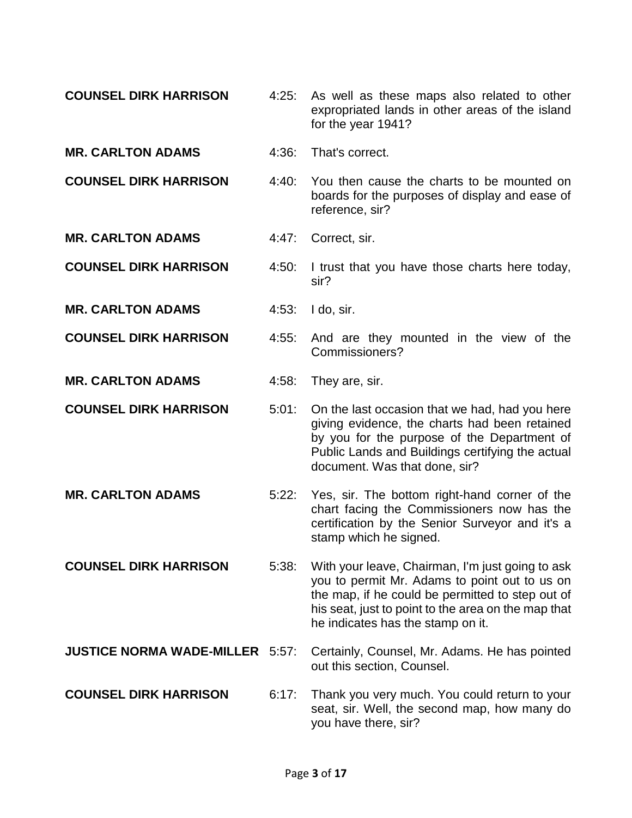**COUNSEL DIRK HARRISON** 4:25: As well as these maps also related to other expropriated lands in other areas of the island for the year 1941?

- **MR. CARLTON ADAMS** 4:36: That's correct.
- **COUNSEL DIRK HARRISON** 4:40: You then cause the charts to be mounted on boards for the purposes of display and ease of reference, sir?
- **MR. CARLTON ADAMS** 4:47: Correct, sir.
- **COUNSEL DIRK HARRISON** 4:50: I trust that you have those charts here today, sir?
- **MR. CARLTON ADAMS** 4:53: 1 do. sir.
- **COUNSEL DIRK HARRISON** 4:55: And are they mounted in the view of the Commissioners?
- **MR. CARLTON ADAMS** 4:58: They are, sir.
- **COUNSEL DIRK HARRISON** 5:01: On the last occasion that we had, had you here giving evidence, the charts had been retained by you for the purpose of the Department of Public Lands and Buildings certifying the actual document. Was that done, sir?
- **MR. CARLTON ADAMS** 5:22: Yes, sir. The bottom right-hand corner of the chart facing the Commissioners now has the certification by the Senior Surveyor and it's a stamp which he signed.
- **COUNSEL DIRK HARRISON** 5:38: With your leave, Chairman, I'm just going to ask you to permit Mr. Adams to point out to us on the map, if he could be permitted to step out of his seat, just to point to the area on the map that he indicates has the stamp on it.

**JUSTICE NORMA WADE-MILLER** 5:57: Certainly, Counsel, Mr. Adams. He has pointed

out this section, Counsel. **COUNSEL DIRK HARRISON** 6:17: Thank you very much. You could return to your seat, sir. Well, the second map, how many do

you have there, sir?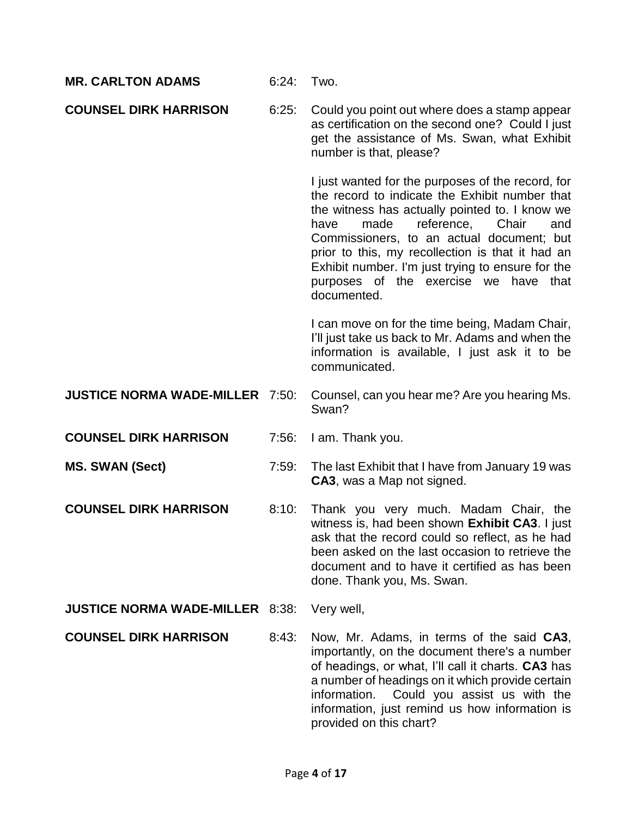- **MR. CARLTON ADAMS** 6:24: Two.
- **COUNSEL DIRK HARRISON** 6:25: Could you point out where does a stamp appear as certification on the second one? Could I just get the assistance of Ms. Swan, what Exhibit number is that, please?

I just wanted for the purposes of the record, for the record to indicate the Exhibit number that the witness has actually pointed to. I know we have made reference, Chair and Commissioners, to an actual document; but prior to this, my recollection is that it had an Exhibit number. I'm just trying to ensure for the purposes of the exercise we have that documented.

I can move on for the time being, Madam Chair, I'll just take us back to Mr. Adams and when the information is available, I just ask it to be communicated.

- **JUSTICE NORMA WADE-MILLER** 7:50: Counsel, can you hear me? Are you hearing Ms. Swan?
- **COUNSEL DIRK HARRISON** 7:56: I am. Thank you.
- **MS. SWAN (Sect)** 7:59: The last Exhibit that I have from January 19 was **CA3**, was a Map not signed.
- **COUNSEL DIRK HARRISON** 8:10: Thank you very much. Madam Chair, the witness is, had been shown **Exhibit CA3**. I just ask that the record could so reflect, as he had been asked on the last occasion to retrieve the document and to have it certified as has been done. Thank you, Ms. Swan.

# **JUSTICE NORMA WADE-MILLER** 8:38: Very well,

**COUNSEL DIRK HARRISON** 8:43: Now, Mr. Adams, in terms of the said **CA3**, importantly, on the document there's a number of headings, or what, I'll call it charts. **CA3** has a number of headings on it which provide certain information. Could you assist us with the information, just remind us how information is provided on this chart?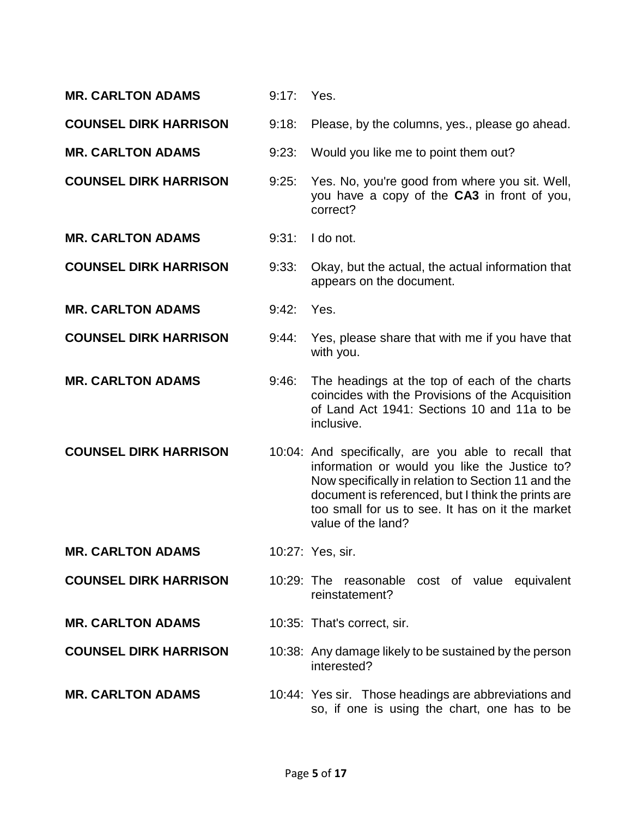**MR. CARLTON ADAMS** 9:17: Yes.

**COUNSEL DIRK HARRISON** 9:18: Please, by the columns, yes., please go ahead.

- **MR. CARLTON ADAMS** 9:23: Would you like me to point them out?
- **COUNSEL DIRK HARRISON** 9:25: Yes. No, you're good from where you sit. Well, you have a copy of the **CA3** in front of you, correct?
- **MR. CARLTON ADAMS** 9:31: I do not.
- **COUNSEL DIRK HARRISON** 9:33: Okay, but the actual, the actual information that appears on the document.

with you.

inclusive.

- **MR. CARLTON ADAMS** 9:42: Yes.
- **COUNSEL DIRK HARRISON** 9:44: Yes, please share that with me if you have that
- **MR. CARLTON ADAMS** 9:46: The headings at the top of each of the charts
- 
- **COUNSEL DIRK HARRISON** 10:04: And specifically, are you able to recall that information or would you like the Justice to? Now specifically in relation to Section 11 and the document is referenced, but I think the prints are too small for us to see. It has on it the market value of the land?
- **MR. CARLTON ADAMS** 10:27: Yes, sir.
- **COUNSEL DIRK HARRISON** 10:29: The reasonable cost of value equivalent reinstatement?

coincides with the Provisions of the Acquisition of Land Act 1941: Sections 10 and 11a to be

- **MR. CARLTON ADAMS** 10:35: That's correct, sir.
- 
- 
- **COUNSEL DIRK HARRISON** 10:38: Any damage likely to be sustained by the person interested?
- **MR. CARLTON ADAMS** 10:44: Yes sir. Those headings are abbreviations and so, if one is using the chart, one has to be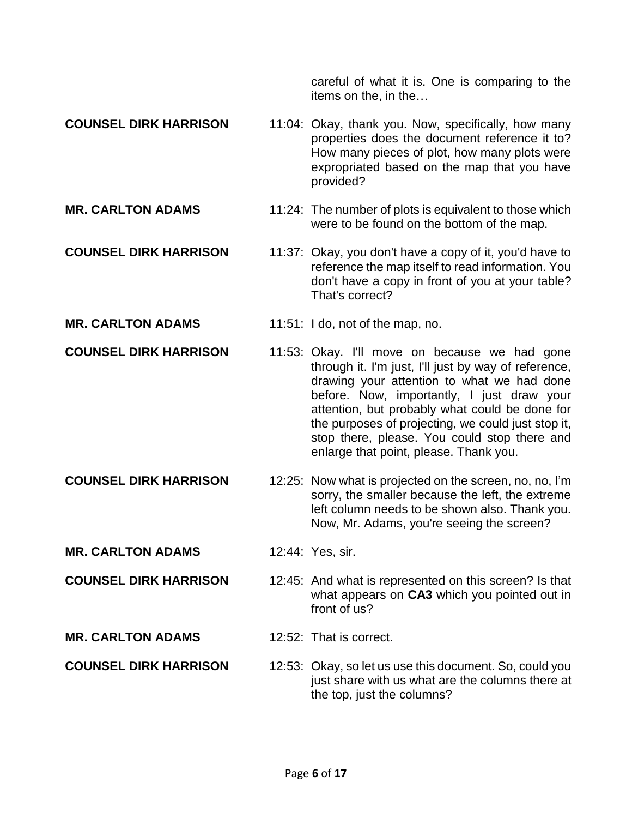careful of what it is. One is comparing to the items on the, in the…

- **COUNSEL DIRK HARRISON** 11:04: Okay, thank you. Now, specifically, how many properties does the document reference it to? How many pieces of plot, how many plots were expropriated based on the map that you have provided?
- **MR. CARLTON ADAMS** 11:24: The number of plots is equivalent to those which were to be found on the bottom of the map.
- **COUNSEL DIRK HARRISON** 11:37: Okay, you don't have a copy of it, you'd have to reference the map itself to read information. You don't have a copy in front of you at your table? That's correct?
- **MR. CARLTON ADAMS** 11:51: I do, not of the map, no.
- **COUNSEL DIRK HARRISON** 11:53: Okay. I'll move on because we had gone through it. I'm just, I'll just by way of reference, drawing your attention to what we had done before. Now, importantly, I just draw your attention, but probably what could be done for the purposes of projecting, we could just stop it, stop there, please. You could stop there and enlarge that point, please. Thank you.
- **COUNSEL DIRK HARRISON** 12:25: Now what is projected on the screen, no, no, I'm sorry, the smaller because the left, the extreme left column needs to be shown also. Thank you. Now, Mr. Adams, you're seeing the screen?
- **MR. CARLTON ADAMS** 12:44: Yes, sir.
- **COUNSEL DIRK HARRISON** 12:45: And what is represented on this screen? Is that what appears on **CA3** which you pointed out in front of us?
- **MR. CARLTON ADAMS** 12:52: That is correct.
- **COUNSEL DIRK HARRISON** 12:53: Okay, so let us use this document. So, could you just share with us what are the columns there at the top, just the columns?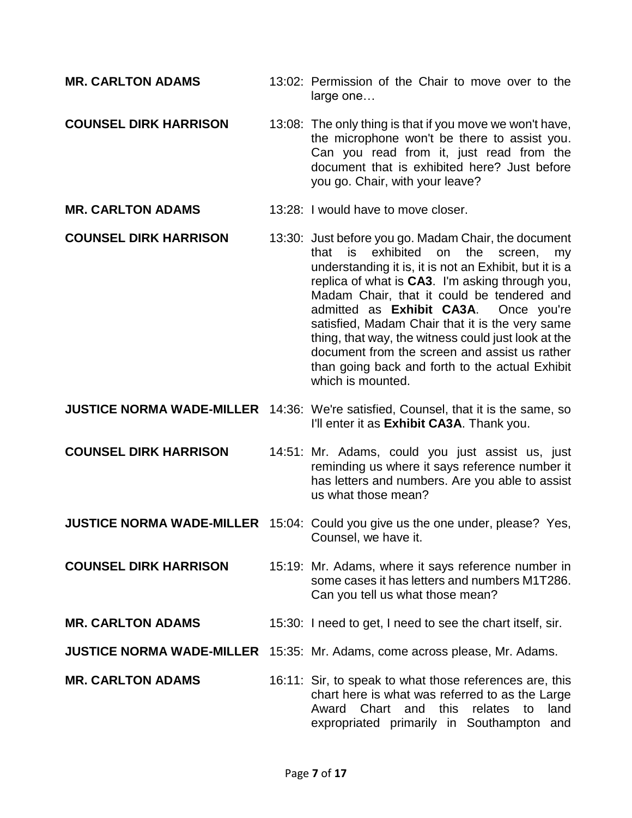- **MR. CARLTON ADAMS** 13:02: Permission of the Chair to move over to the large one…
- **COUNSEL DIRK HARRISON** 13:08: The only thing is that if you move we won't have, the microphone won't be there to assist you. Can you read from it, just read from the document that is exhibited here? Just before you go. Chair, with your leave?
- **MR. CARLTON ADAMS** 13:28: I would have to move closer.
- **COUNSEL DIRK HARRISON** 13:30: Just before you go. Madam Chair, the document that is exhibited on the screen, my understanding it is, it is not an Exhibit, but it is a replica of what is **CA3**. I'm asking through you, Madam Chair, that it could be tendered and admitted as **Exhibit CA3A**. Once you're satisfied, Madam Chair that it is the very same thing, that way, the witness could just look at the document from the screen and assist us rather than going back and forth to the actual Exhibit which is mounted.
- **JUSTICE NORMA WADE-MILLER** 14:36: We're satisfied, Counsel, that it is the same, so I'll enter it as **Exhibit CA3A**. Thank you.
- **COUNSEL DIRK HARRISON** 14:51: Mr. Adams, could you just assist us, just reminding us where it says reference number it has letters and numbers. Are you able to assist us what those mean?
- **JUSTICE NORMA WADE-MILLER** 15:04: Could you give us the one under, please? Yes, Counsel, we have it.
- **COUNSEL DIRK HARRISON** 15:19: Mr. Adams, where it says reference number in some cases it has letters and numbers M1T286. Can you tell us what those mean?
- **MR. CARLTON ADAMS** 15:30: I need to get, I need to see the chart itself, sir.
- **JUSTICE NORMA WADE-MILLER** 15:35: Mr. Adams, come across please, Mr. Adams.
- **MR. CARLTON ADAMS** 16:11: Sir, to speak to what those references are, this chart here is what was referred to as the Large Award Chart and this relates to land expropriated primarily in Southampton and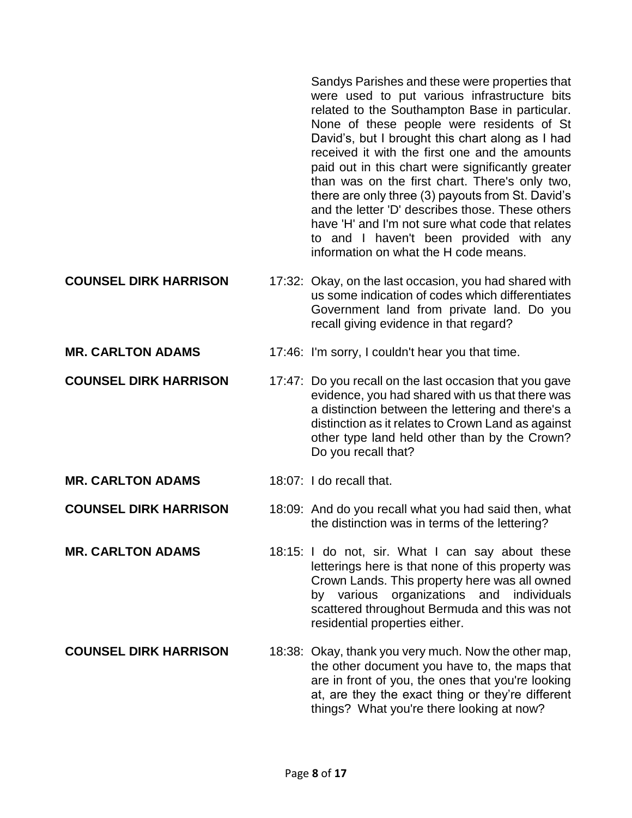Sandys Parishes and these were properties that were used to put various infrastructure bits related to the Southampton Base in particular. None of these people were residents of St David's, but I brought this chart along as I had received it with the first one and the amounts paid out in this chart were significantly greater than was on the first chart. There's only two, there are only three (3) payouts from St. David's and the letter 'D' describes those. These others have 'H' and I'm not sure what code that relates to and I haven't been provided with any information on what the H code means.

- **COUNSEL DIRK HARRISON** 17:32: Okay, on the last occasion, you had shared with us some indication of codes which differentiates Government land from private land. Do you recall giving evidence in that regard?
- **MR. CARLTON ADAMS** 17:46: I'm sorry, I couldn't hear you that time.
- **COUNSEL DIRK HARRISON** 17:47: Do you recall on the last occasion that you gave evidence, you had shared with us that there was a distinction between the lettering and there's a distinction as it relates to Crown Land as against other type land held other than by the Crown? Do you recall that?
- **MR. CARLTON ADAMS** 18:07: I do recall that.
- **COUNSEL DIRK HARRISON** 18:09: And do you recall what you had said then, what
- 
- **MR. CARLTON ADAMS** 18:15: I do not, sir. What I can say about these letterings here is that none of this property was Crown Lands. This property here was all owned by various organizations and individuals scattered throughout Bermuda and this was not residential properties either.

the distinction was in terms of the lettering?

**COUNSEL DIRK HARRISON** 18:38: Okay, thank you very much. Now the other map, the other document you have to, the maps that are in front of you, the ones that you're looking at, are they the exact thing or they're different things? What you're there looking at now?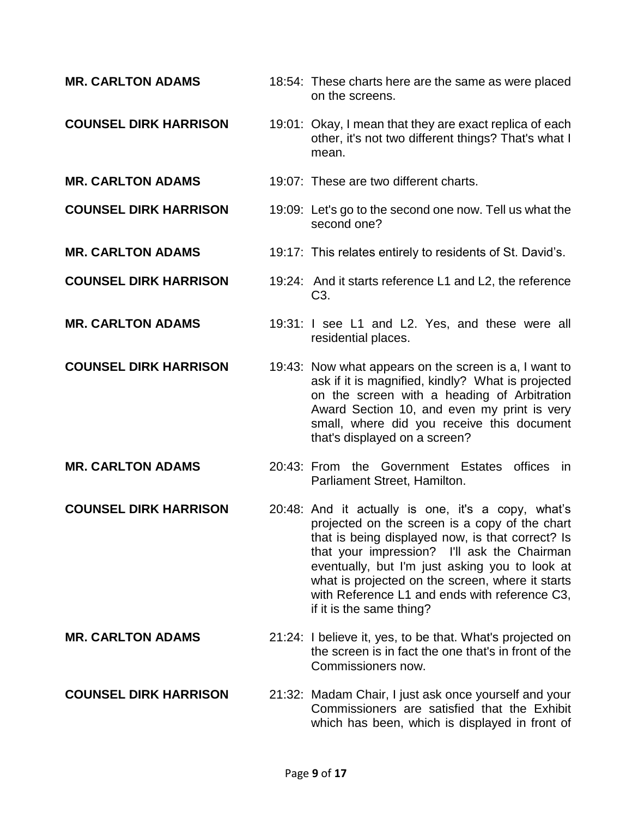| <b>MR. CARLTON ADAMS</b> | 18:54: These charts here are the same as were placed |
|--------------------------|------------------------------------------------------|
|                          | on the screens.                                      |

- **COUNSEL DIRK HARRISON** 19:01: Okay, I mean that they are exact replica of each other, it's not two different things? That's what I mean.
- **MR. CARLTON ADAMS** 19:07: These are two different charts.
- **COUNSEL DIRK HARRISON** 19:09: Let's go to the second one now. Tell us what the second one?

**MR. CARLTON ADAMS** 19:17: This relates entirely to residents of St. David's.

- **COUNSEL DIRK HARRISON** 19:24: And it starts reference L1 and L2, the reference C3.
- **MR. CARLTON ADAMS** 19:31: I see L1 and L2. Yes, and these were all residential places.
- **COUNSEL DIRK HARRISON** 19:43: Now what appears on the screen is a, I want to ask if it is magnified, kindly? What is projected on the screen with a heading of Arbitration Award Section 10, and even my print is very small, where did you receive this document that's displayed on a screen?
- **MR. CARLTON ADAMS** 20:43: From the Government Estates offices in Parliament Street, Hamilton.
- **COUNSEL DIRK HARRISON** 20:48: And it actually is one, it's a copy, what's projected on the screen is a copy of the chart that is being displayed now, is that correct? Is that your impression? I'll ask the Chairman eventually, but I'm just asking you to look at what is projected on the screen, where it starts with Reference L1 and ends with reference C3, if it is the same thing?
- **MR. CARLTON ADAMS** 21:24: I believe it, yes, to be that. What's projected on the screen is in fact the one that's in front of the Commissioners now.
- **COUNSEL DIRK HARRISON** 21:32: Madam Chair, I just ask once yourself and your Commissioners are satisfied that the Exhibit which has been, which is displayed in front of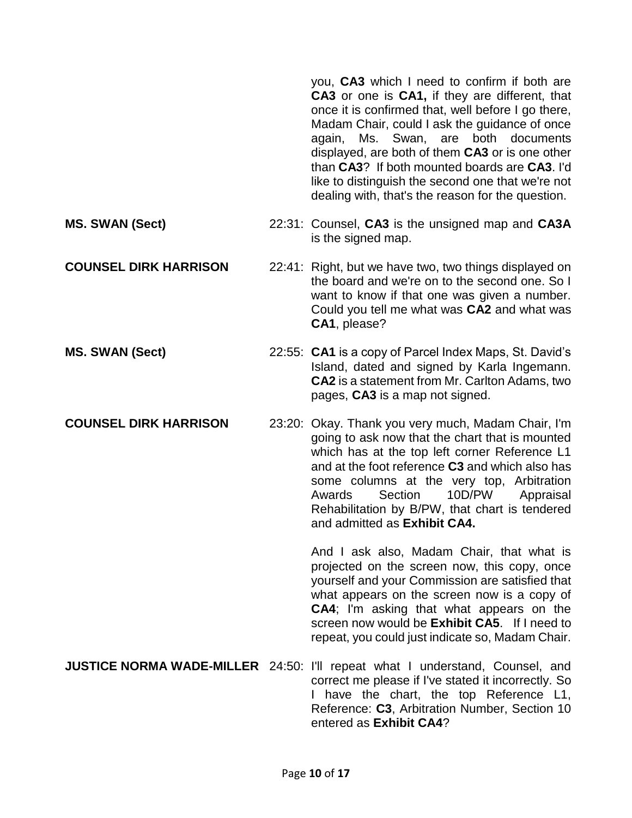you, **CA3** which I need to confirm if both are **CA3** or one is **CA1,** if they are different, that once it is confirmed that, well before I go there, Madam Chair, could I ask the guidance of once again, Ms. Swan, are both documents displayed, are both of them **CA3** or is one other than **CA3**? If both mounted boards are **CA3**. I'd like to distinguish the second one that we're not dealing with, that's the reason for the question.

- **MS. SWAN (Sect)** 22:31: Counsel, **CA3** is the unsigned map and **CA3A** is the signed map.
- **COUNSEL DIRK HARRISON** 22:41: Right, but we have two, two things displayed on the board and we're on to the second one. So I want to know if that one was given a number. Could you tell me what was **CA2** and what was **CA1**, please?
- **MS. SWAN (Sect)** 22:55: **CA1** is a copy of Parcel Index Maps, St. David's Island, dated and signed by Karla Ingemann. **CA2** is a statement from Mr. Carlton Adams, two pages, **CA3** is a map not signed.
- **COUNSEL DIRK HARRISON** 23:20: Okay. Thank you very much, Madam Chair, I'm going to ask now that the chart that is mounted which has at the top left corner Reference L1 and at the foot reference **C3** and which also has some columns at the very top, Arbitration Awards Section 10D/PW Appraisal Rehabilitation by B/PW, that chart is tendered and admitted as **Exhibit CA4.**

And I ask also, Madam Chair, that what is projected on the screen now, this copy, once yourself and your Commission are satisfied that what appears on the screen now is a copy of **CA4**; I'm asking that what appears on the screen now would be **Exhibit CA5**. If I need to repeat, you could just indicate so, Madam Chair.

**JUSTICE NORMA WADE-MILLER** 24:50: I'll repeat what I understand, Counsel, and correct me please if I've stated it incorrectly. So I have the chart, the top Reference L1, Reference: **C3**, Arbitration Number, Section 10 entered as **Exhibit CA4**?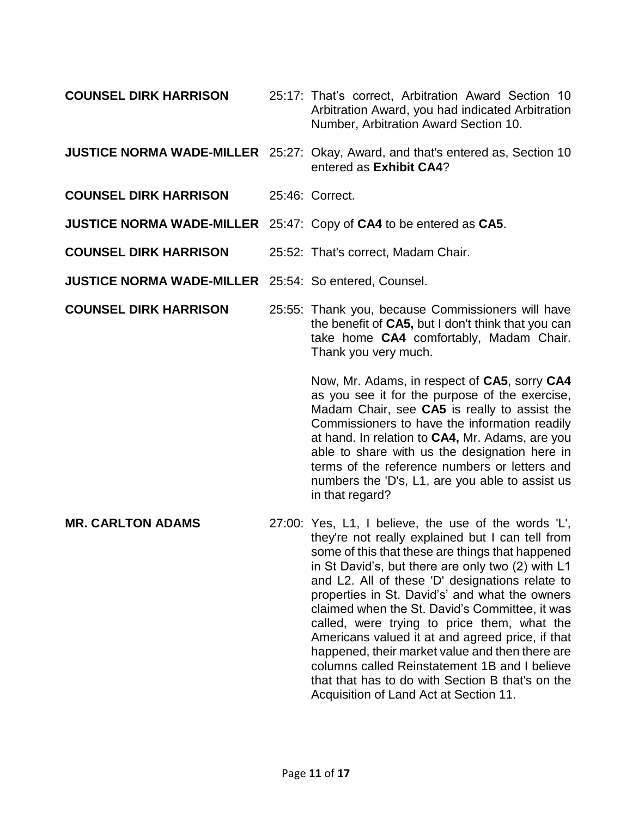**COUNSEL DIRK HARRISON** 25:17: That's correct, Arbitration Award Section 10 Arbitration Award, you had indicated Arbitration Number, Arbitration Award Section 10.

**JUSTICE NORMA WADE-MILLER** 25:27: Okay, Award, and that's entered as, Section 10 entered as **Exhibit CA4**?

- **COUNSEL DIRK HARRISON** 25:46: Correct.
- **JUSTICE NORMA WADE-MILLER** 25:47: Copy of **CA4** to be entered as **CA5**.
- **COUNSEL DIRK HARRISON** 25:52: That's correct, Madam Chair.
- **JUSTICE NORMA WADE-MILLER** 25:54: So entered, Counsel.

**COUNSEL DIRK HARRISON** 25:55: Thank you, because Commissioners will have the benefit of **CA5,** but I don't think that you can take home **CA4** comfortably, Madam Chair. Thank you very much.

> Now, Mr. Adams, in respect of **CA5**, sorry **CA4** as you see it for the purpose of the exercise, Madam Chair, see **CA5** is really to assist the Commissioners to have the information readily at hand. In relation to **CA4,** Mr. Adams, are you able to share with us the designation here in terms of the reference numbers or letters and numbers the 'D's, L1, are you able to assist us in that regard?

**MR. CARLTON ADAMS** 27:00: Yes, L1, I believe, the use of the words 'L', they're not really explained but I can tell from some of this that these are things that happened in St David's, but there are only two (2) with L1 and L2. All of these 'D' designations relate to properties in St. David's' and what the owners claimed when the St. David's Committee, it was called, were trying to price them, what the Americans valued it at and agreed price, if that happened, their market value and then there are columns called Reinstatement 1B and I believe that that has to do with Section B that's on the Acquisition of Land Act at Section 11.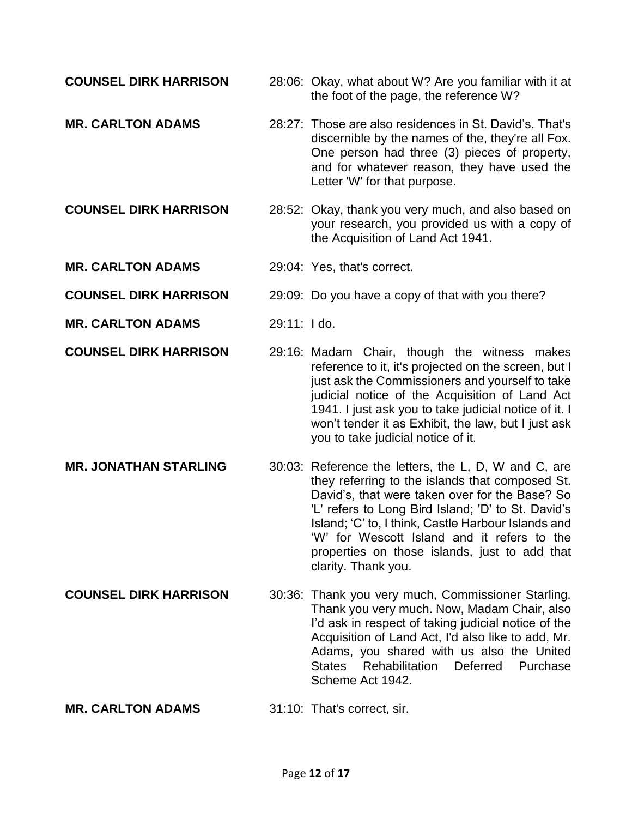- **COUNSEL DIRK HARRISON** 28:06: Okay, what about W? Are you familiar with it at the foot of the page, the reference W?
- **MR. CARLTON ADAMS** 28:27: Those are also residences in St. David's. That's discernible by the names of the, they're all Fox. One person had three (3) pieces of property, and for whatever reason, they have used the Letter 'W' for that purpose.
- **COUNSEL DIRK HARRISON** 28:52: Okay, thank you very much, and also based on your research, you provided us with a copy of the Acquisition of Land Act 1941.
- **MR. CARLTON ADAMS** 29:04: Yes, that's correct.
- **COUNSEL DIRK HARRISON** 29:09: Do you have a copy of that with you there?
- **MR. CARLTON ADAMS** 29:11: I do.
- **COUNSEL DIRK HARRISON** 29:16: Madam Chair, though the witness makes reference to it, it's projected on the screen, but I just ask the Commissioners and yourself to take judicial notice of the Acquisition of Land Act 1941. I just ask you to take judicial notice of it. I won't tender it as Exhibit, the law, but I just ask you to take judicial notice of it.
- **MR. JONATHAN STARLING** 30:03: Reference the letters, the L, D, W and C, are they referring to the islands that composed St. David's, that were taken over for the Base? So 'L' refers to Long Bird Island; 'D' to St. David's Island; 'C' to, I think, Castle Harbour Islands and 'W' for Wescott Island and it refers to the properties on those islands, just to add that clarity. Thank you.
- **COUNSEL DIRK HARRISON** 30:36: Thank you very much, Commissioner Starling. Thank you very much. Now, Madam Chair, also I'd ask in respect of taking judicial notice of the Acquisition of Land Act, I'd also like to add, Mr. Adams, you shared with us also the United States Rehabilitation Deferred Purchase Scheme Act 1942.
- **MR. CARLTON ADAMS** 31:10: That's correct, sir.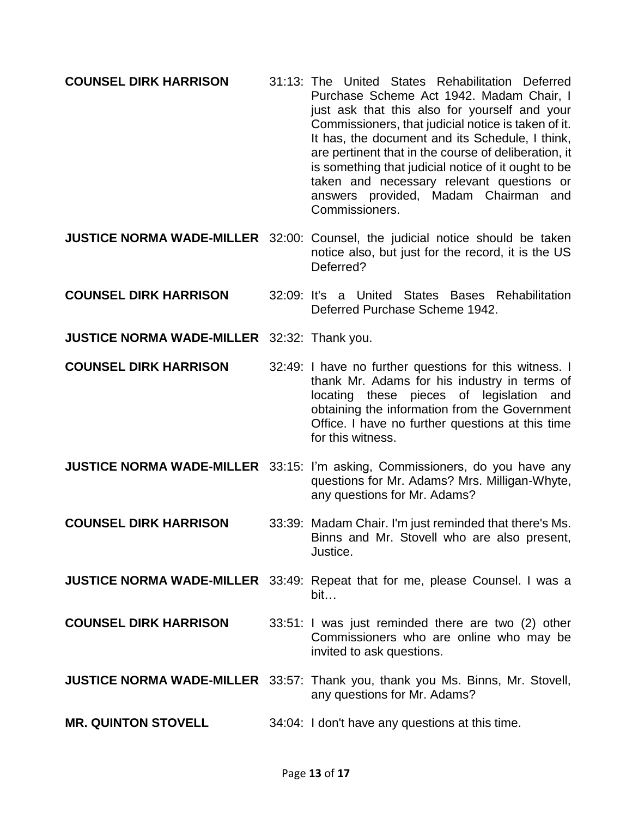# **COUNSEL DIRK HARRISON** 31:13: The United States Rehabilitation Deferred Purchase Scheme Act 1942. Madam Chair, I just ask that this also for yourself and your Commissioners, that judicial notice is taken of it. It has, the document and its Schedule, I think, are pertinent that in the course of deliberation, it is something that judicial notice of it ought to be taken and necessary relevant questions or answers provided, Madam Chairman and Commissioners.

**JUSTICE NORMA WADE-MILLER** 32:00: Counsel, the judicial notice should be taken notice also, but just for the record, it is the US Deferred?

**COUNSEL DIRK HARRISON** 32:09: It's a United States Bases Rehabilitation Deferred Purchase Scheme 1942.

**JUSTICE NORMA WADE-MILLER** 32:32: Thank you.

**COUNSEL DIRK HARRISON** 32:49: I have no further questions for this witness. I thank Mr. Adams for his industry in terms of locating these pieces of legislation and obtaining the information from the Government Office. I have no further questions at this time for this witness.

**JUSTICE NORMA WADE-MILLER** 33:15: I'm asking, Commissioners, do you have any questions for Mr. Adams? Mrs. Milligan-Whyte, any questions for Mr. Adams?

**COUNSEL DIRK HARRISON** 33:39: Madam Chair. I'm just reminded that there's Ms. Binns and Mr. Stovell who are also present, Justice.

**JUSTICE NORMA WADE-MILLER** 33:49: Repeat that for me, please Counsel. I was a bit…

**COUNSEL DIRK HARRISON** 33:51: I was just reminded there are two (2) other Commissioners who are online who may be invited to ask questions.

**JUSTICE NORMA WADE-MILLER** 33:57: Thank you, thank you Ms. Binns, Mr. Stovell, any questions for Mr. Adams?

**MR. QUINTON STOVELL** 34:04: I don't have any questions at this time.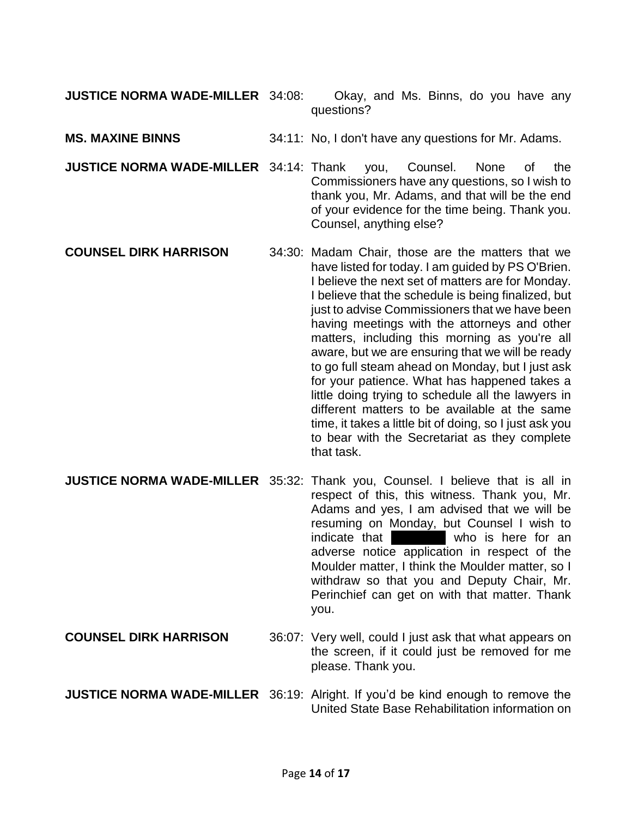# **JUSTICE NORMA WADE-MILLER** 34:08: Okay, and Ms. Binns, do you have any questions?

- **MS. MAXINE BINNS** 34:11: No, I don't have any questions for Mr. Adams.
- **JUSTICE NORMA WADE-MILLER** 34:14: Thank you, Counsel. None of the Commissioners have any questions, so I wish to thank you, Mr. Adams, and that will be the end of your evidence for the time being. Thank you. Counsel, anything else?
- **COUNSEL DIRK HARRISON** 34:30: Madam Chair, those are the matters that we have listed for today. I am guided by PS O'Brien. I believe the next set of matters are for Monday. I believe that the schedule is being finalized, but just to advise Commissioners that we have been having meetings with the attorneys and other matters, including this morning as you're all aware, but we are ensuring that we will be ready to go full steam ahead on Monday, but I just ask for your patience. What has happened takes a little doing trying to schedule all the lawyers in different matters to be available at the same time, it takes a little bit of doing, so I just ask you to bear with the Secretariat as they complete that task.
- **JUSTICE NORMA WADE-MILLER** 35:32: Thank you, Counsel. I believe that is all in respect of this, this witness. Thank you, Mr. Adams and yes, I am advised that we will be resuming on Monday, but Counsel I wish to indicate that **Mr. Cook who is here for an** adverse notice application in respect of the Moulder matter, I think the Moulder matter, so I withdraw so that you and Deputy Chair, Mr. Perinchief can get on with that matter. Thank you.
- **COUNSEL DIRK HARRISON** 36:07: Very well, could I just ask that what appears on the screen, if it could just be removed for me please. Thank you.
- **JUSTICE NORMA WADE-MILLER** 36:19: Alright. If you'd be kind enough to remove the United State Base Rehabilitation information on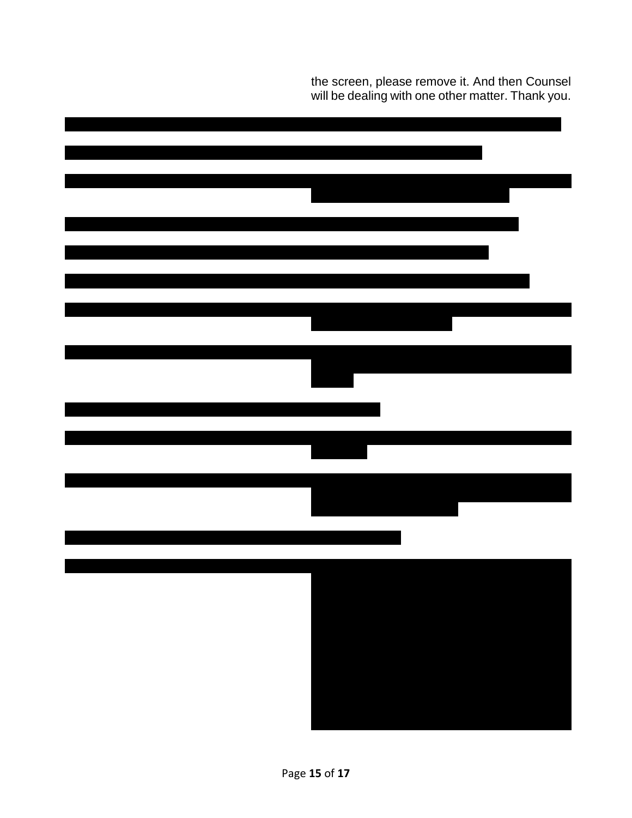the screen, please remove it. And then Counsel will be dealing with one other matter. Thank you.

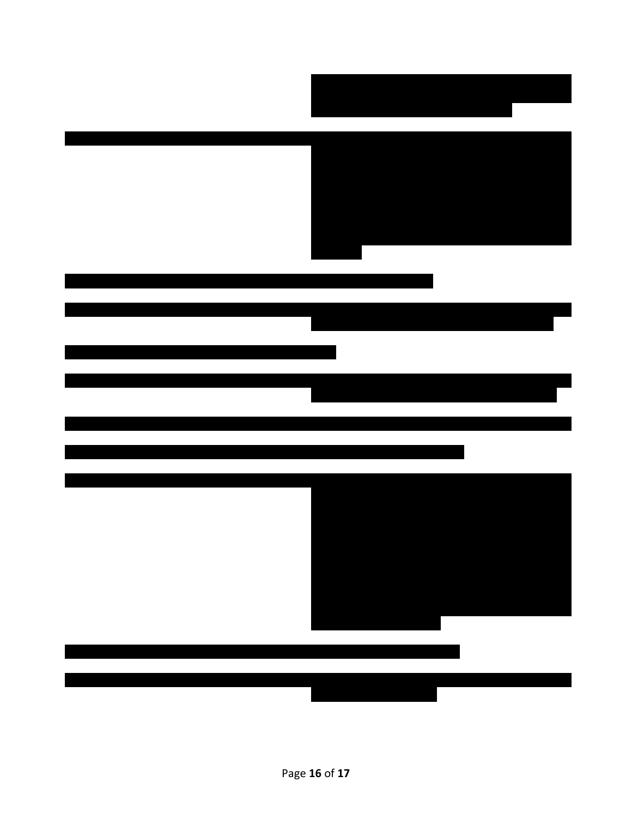